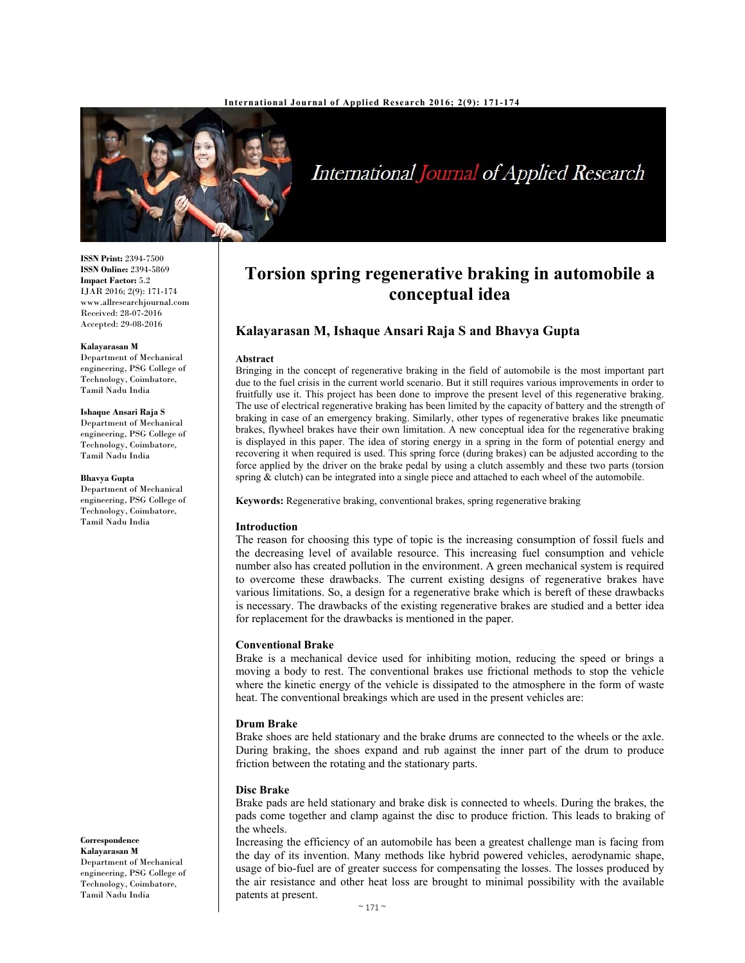

# International Journal of Applied Research

**ISSN Print:** 2394-7500 **ISSN Online:** 2394-5869 **Impact Factor:** 5.2 IJAR 2016; 2(9): 171-174 www.allresearchjournal.com Received: 28-07-2016 Accepted: 29-08-2016

#### **Kalayarasan M**

Department of Mechanical engineering, PSG College of Technology, Coimbatore, Tamil Nadu India

#### **Ishaque Ansari Raja S**

Department of Mechanical engineering, PSG College of Technology, Coimbatore, Tamil Nadu India

#### **Bhavya Gupta**

Department of Mechanical engineering, PSG College of Technology, Coimbatore, Tamil Nadu India

**Correspondence** 

**Kalayarasan M**  Department of Mechanical engineering, PSG College of Technology, Coimbatore, Tamil Nadu India

## **Torsion spring regenerative braking in automobile a conceptual idea**

## **Kalayarasan M, Ishaque Ansari Raja S and Bhavya Gupta**

#### **Abstract**

Bringing in the concept of regenerative braking in the field of automobile is the most important part due to the fuel crisis in the current world scenario. But it still requires various improvements in order to fruitfully use it. This project has been done to improve the present level of this regenerative braking. The use of electrical regenerative braking has been limited by the capacity of battery and the strength of braking in case of an emergency braking. Similarly, other types of regenerative brakes like pneumatic brakes, flywheel brakes have their own limitation. A new conceptual idea for the regenerative braking is displayed in this paper. The idea of storing energy in a spring in the form of potential energy and recovering it when required is used. This spring force (during brakes) can be adjusted according to the force applied by the driver on the brake pedal by using a clutch assembly and these two parts (torsion spring  $\&$  clutch) can be integrated into a single piece and attached to each wheel of the automobile.

**Keywords:** Regenerative braking, conventional brakes, spring regenerative braking

#### **Introduction**

The reason for choosing this type of topic is the increasing consumption of fossil fuels and the decreasing level of available resource. This increasing fuel consumption and vehicle number also has created pollution in the environment. A green mechanical system is required to overcome these drawbacks. The current existing designs of regenerative brakes have various limitations. So, a design for a regenerative brake which is bereft of these drawbacks is necessary. The drawbacks of the existing regenerative brakes are studied and a better idea for replacement for the drawbacks is mentioned in the paper.

### **Conventional Brake**

Brake is a mechanical device used for inhibiting motion, reducing the speed or brings a moving a body to rest. The conventional brakes use frictional methods to stop the vehicle where the kinetic energy of the vehicle is dissipated to the atmosphere in the form of waste heat. The conventional breakings which are used in the present vehicles are:

#### **Drum Brake**

Brake shoes are held stationary and the brake drums are connected to the wheels or the axle. During braking, the shoes expand and rub against the inner part of the drum to produce friction between the rotating and the stationary parts.

#### **Disc Brake**

Brake pads are held stationary and brake disk is connected to wheels. During the brakes, the pads come together and clamp against the disc to produce friction. This leads to braking of the wheels.

Increasing the efficiency of an automobile has been a greatest challenge man is facing from the day of its invention. Many methods like hybrid powered vehicles, aerodynamic shape, usage of bio-fuel are of greater success for compensating the losses. The losses produced by the air resistance and other heat loss are brought to minimal possibility with the available patents at present.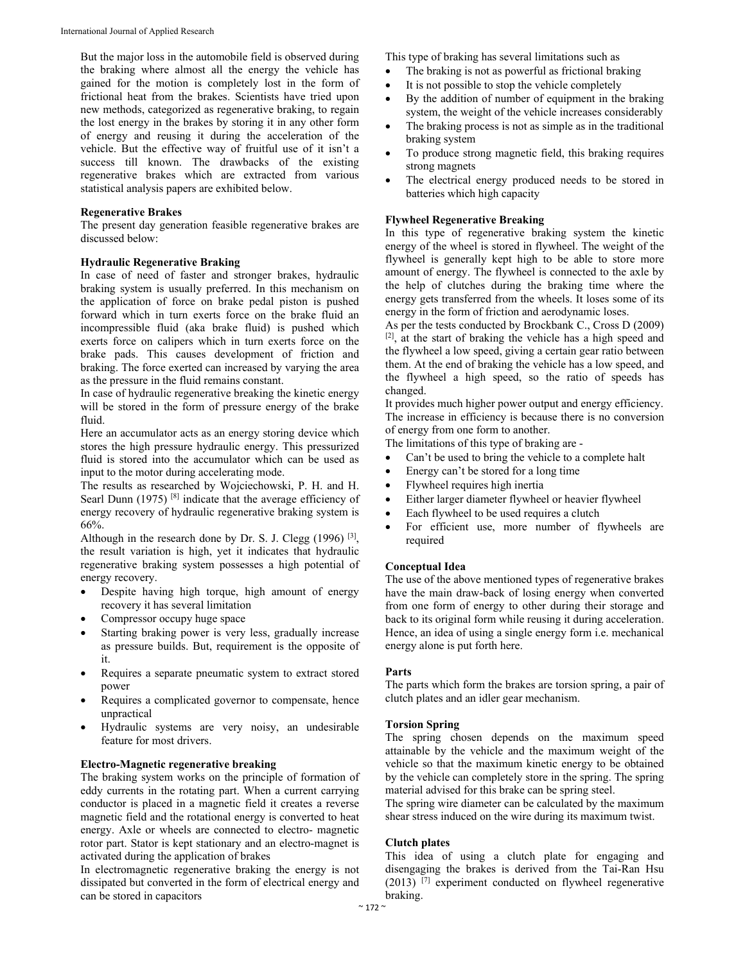But the major loss in the automobile field is observed during the braking where almost all the energy the vehicle has gained for the motion is completely lost in the form of frictional heat from the brakes. Scientists have tried upon new methods, categorized as regenerative braking, to regain the lost energy in the brakes by storing it in any other form of energy and reusing it during the acceleration of the vehicle. But the effective way of fruitful use of it isn't a success till known. The drawbacks of the existing regenerative brakes which are extracted from various statistical analysis papers are exhibited below.

## **Regenerative Brakes**

The present day generation feasible regenerative brakes are discussed below:

#### **Hydraulic Regenerative Braking**

In case of need of faster and stronger brakes, hydraulic braking system is usually preferred. In this mechanism on the application of force on brake pedal piston is pushed forward which in turn exerts force on the brake fluid an incompressible fluid (aka brake fluid) is pushed which exerts force on calipers which in turn exerts force on the brake pads. This causes development of friction and braking. The force exerted can increased by varying the area as the pressure in the fluid remains constant.

In case of hydraulic regenerative breaking the kinetic energy will be stored in the form of pressure energy of the brake fluid.

Here an accumulator acts as an energy storing device which stores the high pressure hydraulic energy. This pressurized fluid is stored into the accumulator which can be used as input to the motor during accelerating mode.

The results as researched by Wojciechowski, P. H. and H. Searl Dunn (1975)  $[8]$  indicate that the average efficiency of energy recovery of hydraulic regenerative braking system is 66%.

Although in the research done by Dr. S. J. Clegg  $(1996)$ <sup>[3]</sup>, the result variation is high, yet it indicates that hydraulic regenerative braking system possesses a high potential of energy recovery.

- Despite having high torque, high amount of energy recovery it has several limitation
- Compressor occupy huge space
- Starting braking power is very less, gradually increase as pressure builds. But, requirement is the opposite of it.
- Requires a separate pneumatic system to extract stored power
- Requires a complicated governor to compensate, hence unpractical
- Hydraulic systems are very noisy, an undesirable feature for most drivers.

#### **Electro-Magnetic regenerative breaking**

The braking system works on the principle of formation of eddy currents in the rotating part. When a current carrying conductor is placed in a magnetic field it creates a reverse magnetic field and the rotational energy is converted to heat energy. Axle or wheels are connected to electro- magnetic rotor part. Stator is kept stationary and an electro-magnet is activated during the application of brakes

In electromagnetic regenerative braking the energy is not dissipated but converted in the form of electrical energy and can be stored in capacitors

This type of braking has several limitations such as

- The braking is not as powerful as frictional braking
- It is not possible to stop the vehicle completely
- By the addition of number of equipment in the braking system, the weight of the vehicle increases considerably
- The braking process is not as simple as in the traditional braking system
- To produce strong magnetic field, this braking requires strong magnets
- The electrical energy produced needs to be stored in batteries which high capacity

## **Flywheel Regenerative Breaking**

In this type of regenerative braking system the kinetic energy of the wheel is stored in flywheel. The weight of the flywheel is generally kept high to be able to store more amount of energy. The flywheel is connected to the axle by the help of clutches during the braking time where the energy gets transferred from the wheels. It loses some of its energy in the form of friction and aerodynamic loses.

As per the tests conducted by Brockbank C., Cross D (2009) [2], at the start of braking the vehicle has a high speed and the flywheel a low speed, giving a certain gear ratio between them. At the end of braking the vehicle has a low speed, and the flywheel a high speed, so the ratio of speeds has changed.

It provides much higher power output and energy efficiency. The increase in efficiency is because there is no conversion of energy from one form to another.

The limitations of this type of braking are -

- Can't be used to bring the vehicle to a complete halt
- Energy can't be stored for a long time
- Flywheel requires high inertia
- Either larger diameter flywheel or heavier flywheel
- Each flywheel to be used requires a clutch
- For efficient use, more number of flywheels are required

#### **Conceptual Idea**

The use of the above mentioned types of regenerative brakes have the main draw-back of losing energy when converted from one form of energy to other during their storage and back to its original form while reusing it during acceleration. Hence, an idea of using a single energy form i.e. mechanical energy alone is put forth here.

#### **Parts**

The parts which form the brakes are torsion spring, a pair of clutch plates and an idler gear mechanism.

#### **Torsion Spring**

The spring chosen depends on the maximum speed attainable by the vehicle and the maximum weight of the vehicle so that the maximum kinetic energy to be obtained by the vehicle can completely store in the spring. The spring material advised for this brake can be spring steel.

The spring wire diameter can be calculated by the maximum shear stress induced on the wire during its maximum twist.

#### **Clutch plates**

This idea of using a clutch plate for engaging and disengaging the brakes is derived from the Tai-Ran Hsu  $(2013)$ <sup>[7]</sup> experiment conducted on flywheel regenerative braking.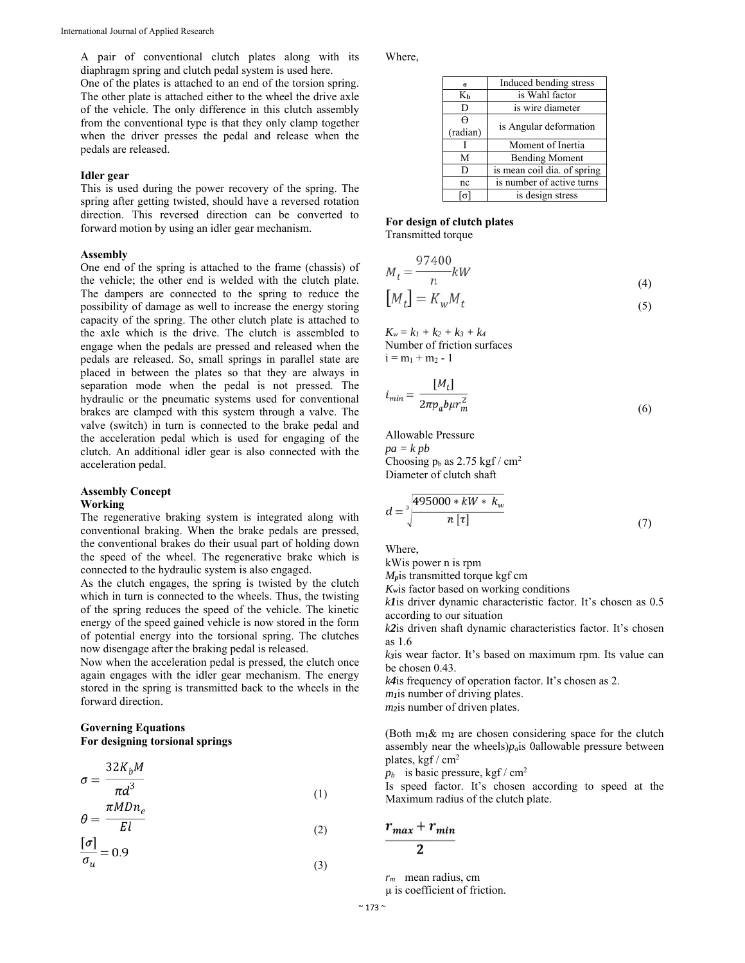A pair of conventional clutch plates along with its diaphragm spring and clutch pedal system is used here.

One of the plates is attached to an end of the torsion spring. The other plate is attached either to the wheel the drive axle of the vehicle. The only difference in this clutch assembly from the conventional type is that they only clamp together when the driver presses the pedal and release when the pedals are released.

#### **Idler gear**

This is used during the power recovery of the spring. The spring after getting twisted, should have a reversed rotation direction. This reversed direction can be converted to forward motion by using an idler gear mechanism.

#### **Assembly**

One end of the spring is attached to the frame (chassis) of the vehicle; the other end is welded with the clutch plate. The dampers are connected to the spring to reduce the possibility of damage as well to increase the energy storing capacity of the spring. The other clutch plate is attached to the axle which is the drive. The clutch is assembled to engage when the pedals are pressed and released when the pedals are released. So, small springs in parallel state are placed in between the plates so that they are always in separation mode when the pedal is not pressed. The hydraulic or the pneumatic systems used for conventional brakes are clamped with this system through a valve. The valve (switch) in turn is connected to the brake pedal and the acceleration pedal which is used for engaging of the clutch. An additional idler gear is also connected with the acceleration pedal.

#### **Assembly Concept Working**

The regenerative braking system is integrated along with conventional braking. When the brake pedals are pressed, the conventional brakes do their usual part of holding down the speed of the wheel. The regenerative brake which is connected to the hydraulic system is also engaged.

As the clutch engages, the spring is twisted by the clutch which in turn is connected to the wheels. Thus, the twisting of the spring reduces the speed of the vehicle. The kinetic energy of the speed gained vehicle is now stored in the form of potential energy into the torsional spring. The clutches now disengage after the braking pedal is released.

Now when the acceleration pedal is pressed, the clutch once again engages with the idler gear mechanism. The energy stored in the spring is transmitted back to the wheels in the forward direction.

## **Governing Equations For designing torsional springs**

$$
\sigma = \frac{32K_b M}{\pi d^3}
$$
\n(1)

$$
\theta = \frac{n! \ln \theta}{El} \tag{2}
$$

$$
\frac{[\sigma]}{\sigma_u} = 0.9\tag{3}
$$

Where,

| $\sigma$ | Induced bending stress      |
|----------|-----------------------------|
| Kь       | is Wahl factor              |
| D        | is wire diameter            |
| $\Theta$ | is Angular deformation      |
| (radian) |                             |
|          | Moment of Inertia           |
| М        | <b>Bending Moment</b>       |
| D        | is mean coil dia. of spring |
| nc       | is number of active turns   |
| $\sigma$ | is design stress            |

## **For design of clutch plates** Transmitted torque

 $(4)$ 

$$
M_t = K_w M_t \tag{5}
$$

 $K_w = k_1 + k_2 + k_3 + k_4$ Number of friction surfaces  $i = m_1 + m_2 - 1$ 

$$
i_{min} = \frac{[M_t]}{2\pi p_a b \mu r_m^2}
$$
\n<sup>(6)</sup>

Allowable Pressure *pa = k pb* Choosing  $p_b$  as 2.75 kgf / cm<sup>2</sup> Diameter of clutch shaft

$$
d = \sqrt[3]{\frac{495000 * kW * k_w}{n [\tau]}}
$$
 (7)

Where,

kWis power n is rpm

*Mp*is transmitted torque kgf cm

*Kw*is factor based on working conditions

*k1*is driver dynamic characteristic factor. It's chosen as 0.5 according to our situation

*k2*is driven shaft dynamic characteristics factor. It's chosen as 1.6

*k3*is wear factor. It's based on maximum rpm. Its value can be chosen 0.43.

*k4*is frequency of operation factor. It's chosen as 2. *m1*is number of driving plates.

*m2*is number of driven plates.

(Both m**1**& m**2** are chosen considering space for the clutch assembly near the wheels) $p_a$  is 0allowable pressure between plates, kgf  $/$  cm<sup>2</sup>

 $p_b$  is basic pressure, kgf / cm<sup>2</sup>

Is speed factor. It's chosen according to speed at the Maximum radius of the clutch plate.

$$
\frac{r_{max}+r_{min}}{2}
$$

*rm* mean radius, cm

µ is coefficient of friction.